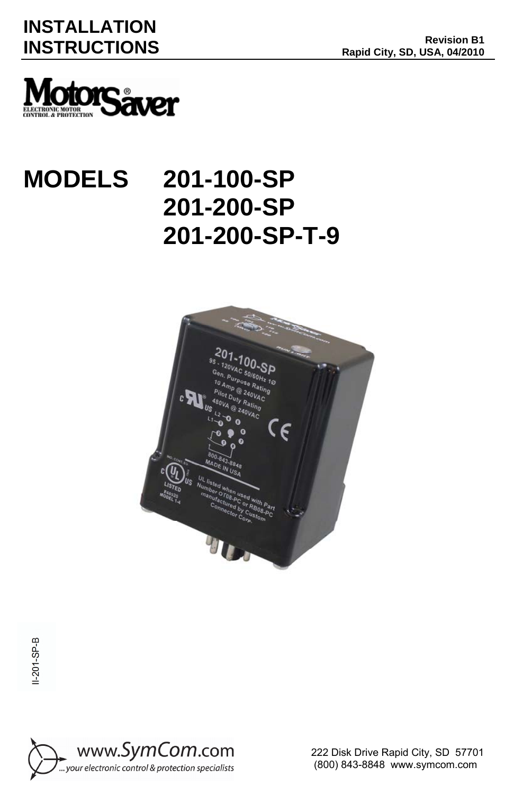# **INSTALLATION**



## **MODELS 201-100-SP 201-200-SP 201-200-SP-T-9**



I-201-SP-B  $I - 201 - SP - B$ 

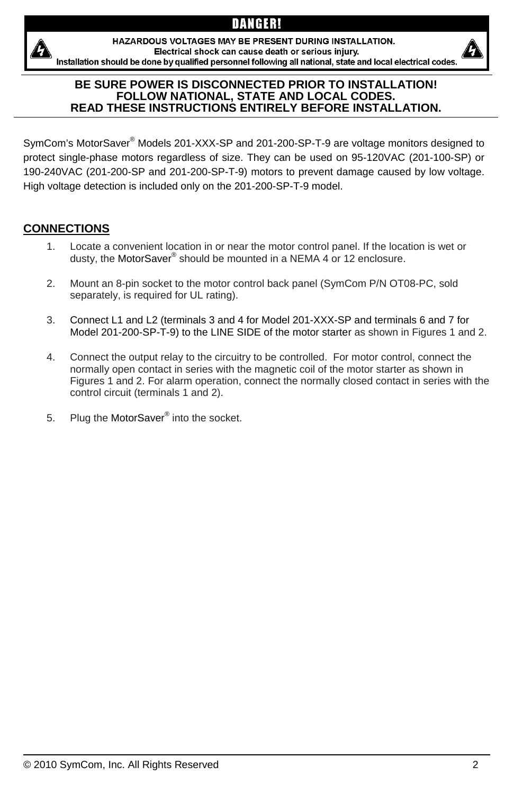HAZARDOUS VOLTAGES MAY BE PRESENT DURING INSTALLATION. Electrical shock can cause death or serious injury. Installation should be done by qualified personnel following all national, state and local electrical codes.

#### **BE SURE POWER IS DISCONNECTED PRIOR TO INSTALLATION! FOLLOW NATIONAL, STATE AND LOCAL CODES. READ THESE INSTRUCTIONS ENTIRELY BEFORE INSTALLATION.**

SymCom's MotorSaver® Models 201-XXX-SP and 201-200-SP-T-9 are voltage monitors designed to protect single-phase motors regardless of size. They can be used on 95-120VAC (201-100-SP) or 190-240VAC (201-200-SP and 201-200-SP-T-9) motors to prevent damage caused by low voltage. High voltage detection is included only on the 201-200-SP-T-9 model.

#### **CONNECTIONS**

- 1. Locate a convenient location in or near the motor control panel. If the location is wet or dusty, the MotorSaver® should be mounted in a NEMA 4 or 12 enclosure.
- 2. Mount an 8-pin socket to the motor control back panel (SymCom P/N OT08-PC, sold separately, is required for UL rating).
- 3. Connect L1 and L2 (terminals 3 and 4 for Model 201-XXX-SP and terminals 6 and 7 for Model 201-200-SP-T-9) to the LINE SIDE of the motor starter as shown in Figures 1 and 2.
- 4. Connect the output relay to the circuitry to be controlled. For motor control, connect the normally open contact in series with the magnetic coil of the motor starter as shown in Figures 1 and 2. For alarm operation, connect the normally closed contact in series with the control circuit (terminals 1 and 2).
- 5. Plug the MotorSaver<sup>®</sup> into the socket.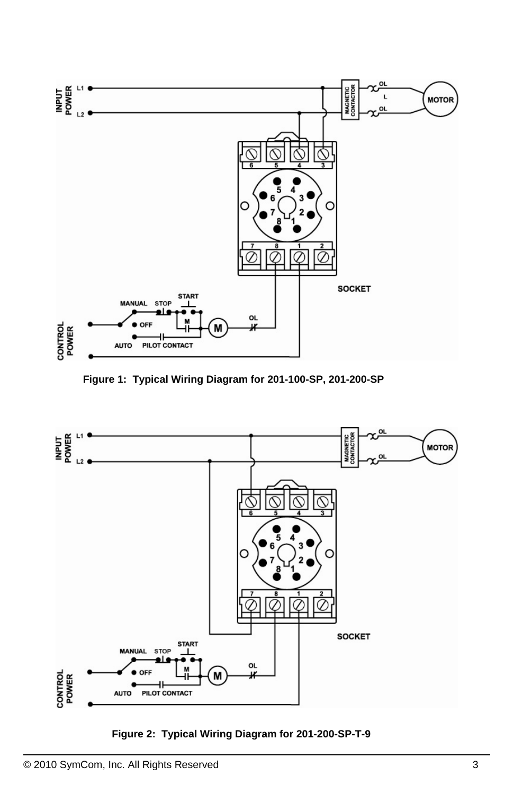

**Figure 1: Typical Wiring Diagram for 201-100-SP, 201-200-SP** 



**Figure 2: Typical Wiring Diagram for 201-200-SP-T-9**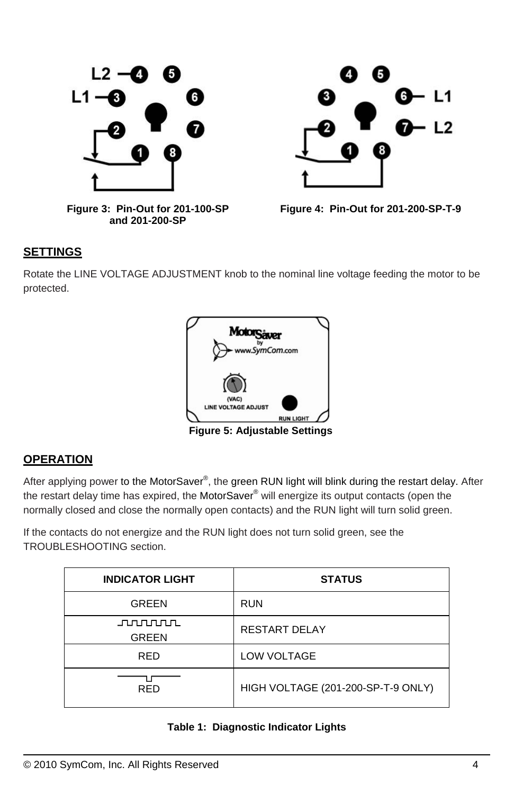

**Figure 3: Pin-Out for 201-100-SP and 201-200-SP**



**Figure 4: Pin-Out for 201-200-SP-T-9** 

#### **SETTINGS**

Rotate the LINE VOLTAGE ADJUSTMENT knob to the nominal line voltage feeding the motor to be protected.



**Figure 5: Adjustable Settings**

#### **OPERATION**

After applying power to the MotorSaver<sup>®</sup>, the green RUN light will blink during the restart delay. After the restart delay time has expired, the MotorSaver® will energize its output contacts (open the normally closed and close the normally open contacts) and the RUN light will turn solid green.

If the contacts do not energize and the RUN light does not turn solid green, see the TROUBLESHOOTING section

| <b>INDICATOR LIGHT</b>        | <b>STATUS</b>                      |
|-------------------------------|------------------------------------|
| <b>GREEN</b>                  | <b>RUN</b>                         |
| <u>ллпппп</u><br><b>GREEN</b> | <b>RESTART DELAY</b>               |
| <b>RED</b>                    | <b>LOW VOLTAGE</b>                 |
| <b>RED</b>                    | HIGH VOLTAGE (201-200-SP-T-9 ONLY) |

#### **Table 1: Diagnostic Indicator Lights**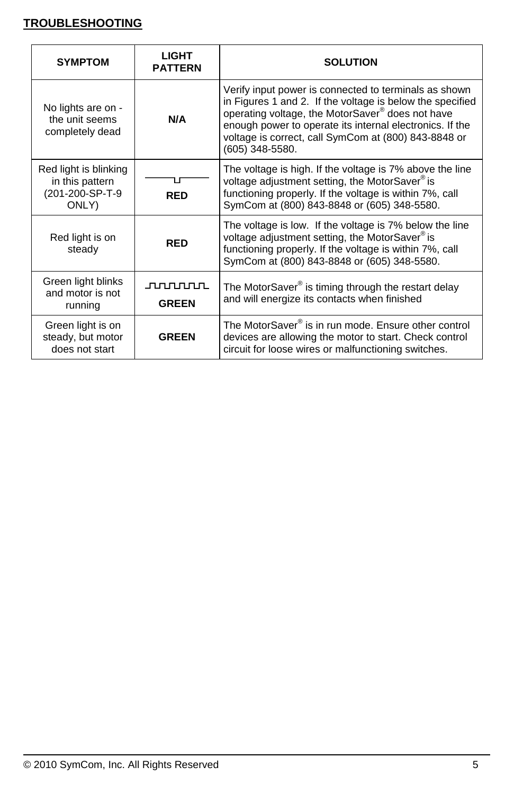### **TROUBLESHOOTING**

| <b>SYMPTOM</b>                                                       | LIGHT<br><b>PATTERN</b>          | <b>SOLUTION</b>                                                                                                                                                                                                                                                                                                           |
|----------------------------------------------------------------------|----------------------------------|---------------------------------------------------------------------------------------------------------------------------------------------------------------------------------------------------------------------------------------------------------------------------------------------------------------------------|
| No lights are on -<br>the unit seems<br>completely dead              | N/A                              | Verify input power is connected to terminals as shown<br>in Figures 1 and 2. If the voltage is below the specified<br>operating voltage, the MotorSaver <sup>®</sup> does not have<br>enough power to operate its internal electronics. If the<br>voltage is correct, call SymCom at (800) 843-8848 or<br>(605) 348-5580. |
| Red light is blinking<br>in this pattern<br>(201-200-SP-T-9<br>ONLY) | <b>RED</b>                       | The voltage is high. If the voltage is 7% above the line<br>voltage adjustment setting, the MotorSaver® is<br>functioning properly. If the voltage is within 7%, call<br>SymCom at (800) 843-8848 or (605) 348-5580.                                                                                                      |
| Red light is on<br>steady                                            | <b>RED</b>                       | The voltage is low. If the voltage is 7% below the line<br>voltage adjustment setting, the MotorSaver® is<br>functioning properly. If the voltage is within 7%, call<br>SymCom at (800) 843-8848 or (605) 348-5580.                                                                                                       |
| Green light blinks<br>and motor is not<br>running                    | <b>ՄՄԱ</b> ՄԱՄԱՆ<br><b>GREEN</b> | The MotorSaver <sup>®</sup> is timing through the restart delay<br>and will energize its contacts when finished                                                                                                                                                                                                           |
| Green light is on<br>steady, but motor<br>does not start             | <b>GREEN</b>                     | The MotorSaver <sup>®</sup> is in run mode. Ensure other control<br>devices are allowing the motor to start. Check control<br>circuit for loose wires or malfunctioning switches.                                                                                                                                         |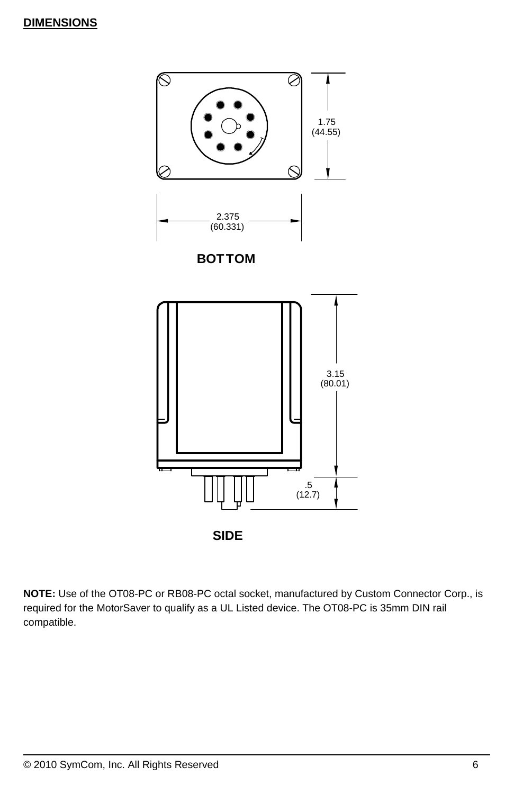#### **DIMENSIONS**



**NOTE:** Use of the OT08-PC or RB08-PC octal socket, manufactured by Custom Connector Corp., is required for the MotorSaver to qualify as a UL Listed device. The OT08-PC is 35mm DIN rail compatible.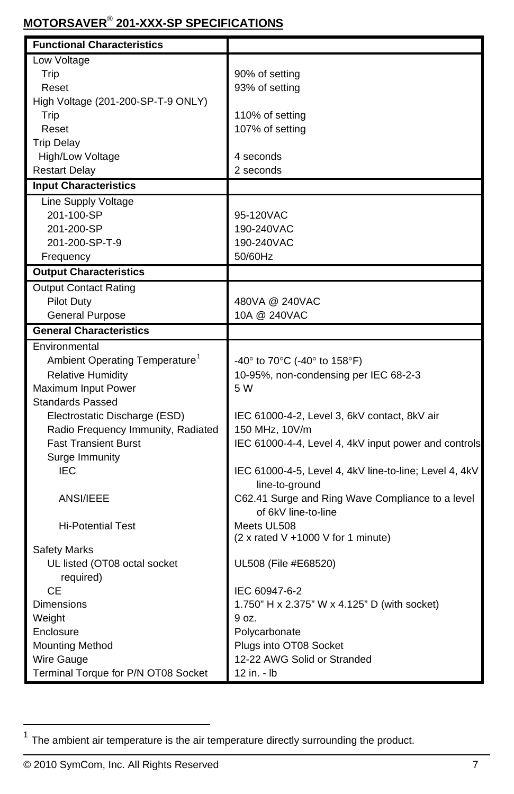### **MOTORSAVER**®  **201-XXX-SP SPECIFICATIONS**

| <b>Functional Characteristics</b>          |                                                                          |
|--------------------------------------------|--------------------------------------------------------------------------|
| Low Voltage                                |                                                                          |
| Trip                                       | 90% of setting                                                           |
| Reset                                      | 93% of setting                                                           |
| High Voltage (201-200-SP-T-9 ONLY)         |                                                                          |
| Trip                                       | 110% of setting                                                          |
| Reset                                      | 107% of setting                                                          |
| <b>Trip Delay</b>                          |                                                                          |
| High/Low Voltage                           | 4 seconds                                                                |
| <b>Restart Delay</b>                       | 2 seconds                                                                |
| <b>Input Characteristics</b>               |                                                                          |
| Line Supply Voltage                        |                                                                          |
| 201-100-SP                                 | 95-120VAC                                                                |
| 201-200-SP                                 | 190-240VAC                                                               |
| 201-200-SP-T-9                             | 190-240VAC                                                               |
| Frequency                                  | 50/60Hz                                                                  |
| <b>Output Characteristics</b>              |                                                                          |
| <b>Output Contact Rating</b>               |                                                                          |
| <b>Pilot Duty</b>                          | 480VA @ 240VAC                                                           |
| <b>General Purpose</b>                     | 10A @ 240VAC                                                             |
| <b>General Characteristics</b>             |                                                                          |
| Environmental                              |                                                                          |
| Ambient Operating Temperature <sup>1</sup> | -40° to 70°C (-40° to 158°F)                                             |
| <b>Relative Humidity</b>                   | 10-95%, non-condensing per IEC 68-2-3                                    |
| Maximum Input Power                        | 5 W                                                                      |
| <b>Standards Passed</b>                    |                                                                          |
| Electrostatic Discharge (ESD)              | IEC 61000-4-2, Level 3, 6kV contact, 8kV air                             |
| Radio Frequency Immunity, Radiated         | 150 MHz, 10V/m                                                           |
| <b>Fast Transient Burst</b>                | IEC 61000-4-4, Level 4, 4kV input power and controls                     |
| Surge Immunity                             |                                                                          |
| <b>IEC</b>                                 | IEC 61000-4-5, Level 4, 4kV line-to-line; Level 4, 4kV<br>line-to-ground |
| ANSI/IEEE                                  | C62.41 Surge and Ring Wave Compliance to a level                         |
|                                            | of 6kV line-to-line                                                      |
| <b>Hi-Potential Test</b>                   | Meets UL508                                                              |
|                                            | $(2 x \text{ rated V} + 1000 V \text{ for } 1 \text{ minute})$           |
| <b>Safety Marks</b>                        |                                                                          |
| UL listed (OT08 octal socket               | UL508 (File #E68520)                                                     |
| required)                                  |                                                                          |
| CЕ                                         | IEC 60947-6-2                                                            |
| Dimensions                                 | 1.750" H x 2.375" W x 4.125" D (with socket)                             |
| Weight                                     | 9 oz.                                                                    |
| Enclosure                                  | Polycarbonate                                                            |
| <b>Mounting Method</b>                     | Plugs into OT08 Socket                                                   |
| Wire Gauge                                 | 12-22 AWG Solid or Stranded                                              |
| Terminal Torque for P/N OT08 Socket        | 12 in. - lb                                                              |

 $\overline{a}$ 

<span id="page-6-0"></span> $1$  The ambient air temperature is the air temperature directly surrounding the product.